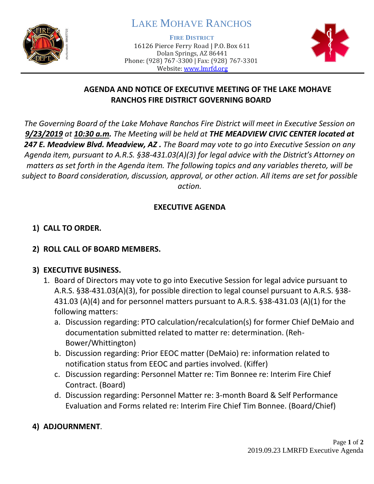

# LAKE MOHAVE RANCHOS

**FIRE DISTRICT**

16126 Pierce Ferry Road | P.O. Box 611 Dolan Springs, AZ 86441 Phone: (928) 767-3300 | Fax: (928) 767-3301 Website: [www.lmrfd.org](http://www.lmrfd.org/)



## **AGENDA AND NOTICE OF EXECUTIVE MEETING OF THE LAKE MOHAVE RANCHOS FIRE DISTRICT GOVERNING BOARD**

*The Governing Board of the Lake Mohave Ranchos Fire District will meet in Executive Session on 9/23/2019 at 10:30 a.m. The Meeting will be held at THE MEADVIEW CIVIC CENTER located at 247 E. Meadview Blvd. Meadview, AZ . The Board may vote to go into Executive Session on any Agenda item, pursuant to A.R.S. §38-431.03(A)(3) for legal advice with the District's Attorney on matters as set forth in the Agenda item. The following topics and any variables thereto, will be subject to Board consideration, discussion, approval, or other action. All items are set for possible action.*

#### **EXECUTIVE AGENDA**

## **1) CALL TO ORDER.**

## **2) ROLL CALL OF BOARD MEMBERS.**

#### **3) EXECUTIVE BUSINESS.**

- 1. Board of Directors may vote to go into Executive Session for legal advice pursuant to A.R.S. §38-431.03(A)(3), for possible direction to legal counsel pursuant to A.R.S. §38- 431.03 (A)(4) and for personnel matters pursuant to A.R.S. §38-431.03 (A)(1) for the following matters:
	- a. Discussion regarding: PTO calculation/recalculation(s) for former Chief DeMaio and documentation submitted related to matter re: determination. (Reh-Bower/Whittington)
	- b. Discussion regarding: Prior EEOC matter (DeMaio) re: information related to notification status from EEOC and parties involved. (Kiffer)
	- c. Discussion regarding: Personnel Matter re: Tim Bonnee re: Interim Fire Chief Contract. (Board)
	- d. Discussion regarding: Personnel Matter re: 3-month Board & Self Performance Evaluation and Forms related re: Interim Fire Chief Tim Bonnee. (Board/Chief)

## **4) ADJOURNMENT**.